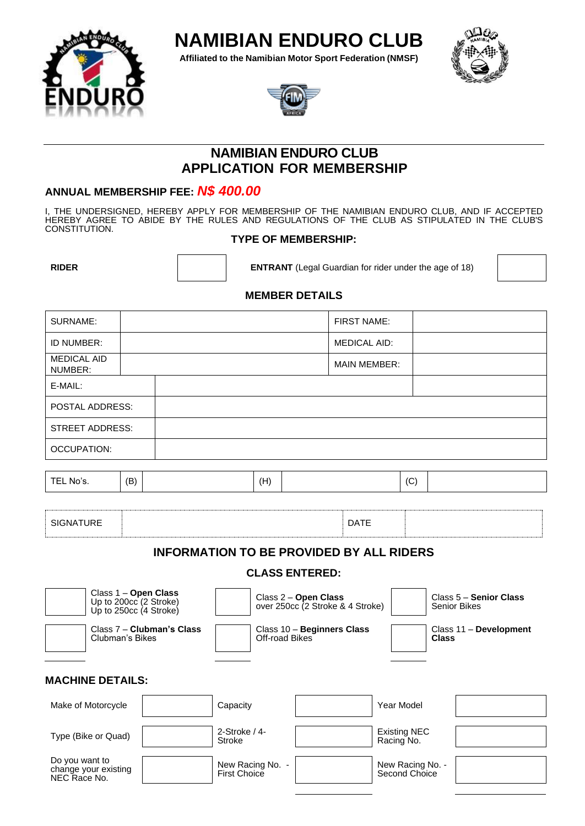

**Affiliated to the Namibian Motor Sport Federation (NMSF)**







# **NAMIBIAN ENDURO CLUB APPLICATION FOR MEMBERSHIP**

## **ANNUAL MEMBERSHIP FEE:** *N\$ 400.00*

I, THE UNDERSIGNED, HEREBY APPLY FOR MEMBERSHIP OF THE NAMIBIAN ENDURO CLUB, AND IF ACCEPTED HEREBY AGREE TO ABIDE BY THE RULES AND REGULATIONS OF THE CLUB AS STIPULATED IN THE CLUB'S CONSTITUTION.

## **TYPE OF MEMBERSHIP:**

**RIDER ENTRANT** (Legal Guardian for rider under the age of 18)



## **MEMBER DETAILS**

| SURNAME:                      | <b>FIRST NAME:</b>  |  |
|-------------------------------|---------------------|--|
| ID NUMBER:                    | <b>MEDICAL AID:</b> |  |
| <b>MEDICAL AID</b><br>NUMBER: | <b>MAIN MEMBER:</b> |  |
| E-MAIL:                       |                     |  |
| <b>POSTAL ADDRESS:</b>        |                     |  |
| <b>STREET ADDRESS:</b>        |                     |  |
| <b>OCCUPATION:</b>            |                     |  |
|                               |                     |  |

| (B)<br>$\sim$<br>TEL No's.<br><b>TEL</b><br>(H) |  |
|-------------------------------------------------|--|
|-------------------------------------------------|--|

| <b>SIGNATURE</b><br>$\sim$ $\sim$ |  | <b>DATE</b><br>. . |  |
|-----------------------------------|--|--------------------|--|
|-----------------------------------|--|--------------------|--|

## **INFORMATION TO BE PROVIDED BY ALL RIDERS**

## **CLASS ENTERED:**

| Class 1 - Open Class<br>Up to 200cc (2 Stroke)<br>Up to $250cc$ (4 Stroke) |  |                                              | Class 2 – Open Class<br>over 250cc (2 Stroke & 4 Stroke) |                                   | Class 5 - Senior Class<br>Senior Bikes |  |
|----------------------------------------------------------------------------|--|----------------------------------------------|----------------------------------------------------------|-----------------------------------|----------------------------------------|--|
| Class 7 - Clubman's Class<br>Clubman's Bikes                               |  | Class 10 - Beginners Class<br>Off-road Bikes |                                                          |                                   | Class 11 - Development<br><b>Class</b> |  |
| <b>MACHINE DETAILS:</b>                                                    |  |                                              |                                                          |                                   |                                        |  |
| Make of Motorcycle                                                         |  | Capacity                                     |                                                          | Year Model                        |                                        |  |
| Type (Bike or Quad)                                                        |  | $2-Stroke/4-$<br>Stroke                      |                                                          | <b>Existing NEC</b><br>Racing No. |                                        |  |
| Do you want to<br>change your existing<br>NEC Race No.                     |  | New Racing No. -<br>First Choice             |                                                          | New Racing No. -<br>Second Choice |                                        |  |